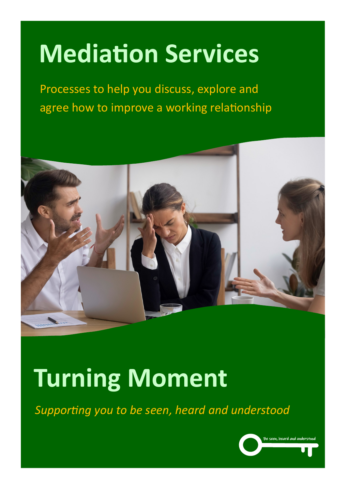# **Mediation Services**

Communication and Personal Safety Skills Workshop For Counting and Counting and Reporting relationship Processes to help you discuss, explore and agree how to improve a working relationship



## **Turning Moment**

*Supporting you to be seen, heard and understood*

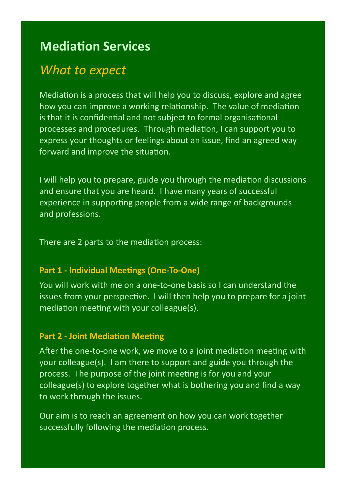### **Mediation Services**

## *What to expect*

Mediation is a process that will help you to discuss, explore and agree how you can improve a working relationship. The value of mediation is that it is confidential and not subject to formal organisational processes and procedures. Through mediation, I can support you to express your thoughts or feelings about an issue, find an agreed way forward and improve the situation.

I will help you to prepare, guide you through the mediation discussions and ensure that you are heard. I have many years of successful experience in supporting people from a wide range of backgrounds and professions.

There are 2 parts to the mediation process:

#### **Part 1 - Individual Meetings (One-To-One)**

You will work with me on a one-to-one basis so I can understand the issues from your perspective. I will then help you to prepare for a joint mediation meeting with your colleague(s).

#### **Part 2 - Joint Mediation Meeting**

After the one-to-one work, we move to a joint mediation meeting with your colleague(s). I am there to support and guide you through the process. The purpose of the joint meeting is for you and your colleague(s) to explore together what is bothering you and find a way to work through the issues.

Our aim is to reach an agreement on how you can work together successfully following the mediation process.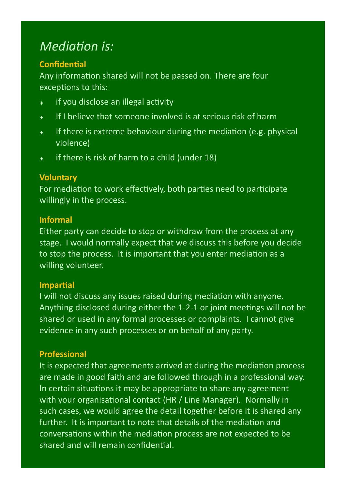## *Mediation is:*

#### **Confidential**

Any information shared will not be passed on. There are four exceptions to this:

- **i** if you disclose an illegal activity
- $\bullet$  If I believe that someone involved is at serious risk of harm
- If there is extreme behaviour during the mediation (e.g. physical violence)
- $\bullet$  if there is risk of harm to a child (under 18)

#### **Voluntary**

For mediation to work effectively, both parties need to participate willingly in the process.

#### **Informal**

Either party can decide to stop or withdraw from the process at any stage. I would normally expect that we discuss this before you decide to stop the process. It is important that you enter mediation as a willing volunteer.

#### **Impartial**

I will not discuss any issues raised during mediation with anyone. Anything disclosed during either the 1-2-1 or joint meetings will not be shared or used in any formal processes or complaints. I cannot give evidence in any such processes or on behalf of any party.

#### **Professional**

It is expected that agreements arrived at during the mediation process are made in good faith and are followed through in a professional way. In certain situations it may be appropriate to share any agreement with your organisational contact (HR / Line Manager). Normally in such cases, we would agree the detail together before it is shared any further. It is important to note that details of the mediation and conversations within the mediation process are not expected to be shared and will remain confidential.